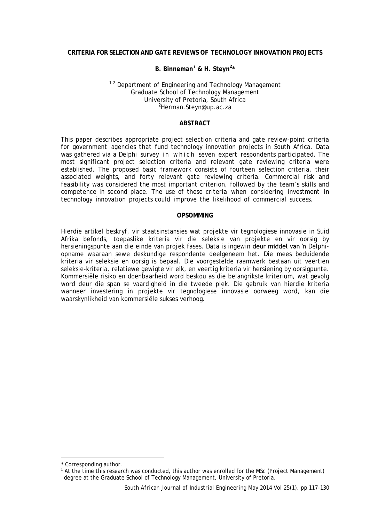# **CRITERIA FOR SELECTION AND GATE REVIEWS OF TECHNOLOGY INNOVATION PROJECTS**

## **B. Binneman[1](#page-0-0) & H. Steyn2 \***

### $1,2$  Department of Engineering and Technology Management Graduate School of Technology Management University of Pretoria, South Africa <sup>2</sup>Herman.Steyn@up.ac.za

### **ABSTRACT**

This paper describes appropriate project selection criteria and gate review-point criteria for government agencies that fund technology innovation projects in South Africa. Data was gathered via a Delphi survey in which seven expert respondents participated. The most significant project selection criteria and relevant gate reviewing criteria were established. The proposed basic framework consists of fourteen selection criteria, their associated weights, and forty relevant gate reviewing criteria. Commercial risk and feasibility was considered the most important criterion, followed by the team's skills and competence in second place. The use of these criteria when considering investment in technology innovation projects could improve the likelihood of commercial success.

### **OPSOMMING**

Hierdie artikel beskryf, vir staatsinstansies wat projekte vir tegnologiese innovasie in Suid Afrika befonds, toepaslike kriteria vir die seleksie van projekte en vir oorsig by hersieningspunte aan die einde van projek fases. Data is ingewin deur middel van 'n Delphiopname waaraan sewe deskundige respondente deelgeneem het. Die mees beduidende kriteria vir seleksie en oorsig is bepaal. Die voorgestelde raamwerk bestaan uit veertien seleksie-kriteria, relatiewe gewigte vir elk, en veertig kriteria vir hersiening by oorsigpunte. Kommersiële risiko en doenbaarheid word beskou as die belangrikste kriterium, wat gevolg word deur die span se vaardigheid in die tweede plek. Die gebruik van hierdie kriteria wanneer investering in projekte vir tegnologiese innovasie oorweeg word, kan die waarskynlikheid van kommersiële sukses verhoog.

-

<span id="page-0-0"></span><sup>\*</sup> Corresponding author.

<sup>&</sup>lt;sup>1</sup> At the time this research was conducted, this author was enrolled for the MSc (Project Management) degree at the Graduate School of Technology Management, University of Pretoria.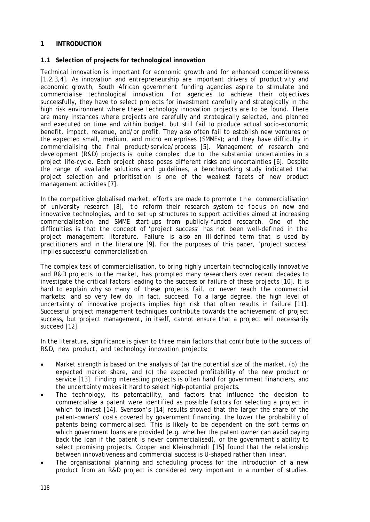### **1 INTRODUCTION**

## **1.1 Selection of projects for technological innovation**

Technical innovation is important for economic growth and for enhanced competitiveness [1,2,3,4]. As innovation and entrepreneurship are important drivers of productivity and economic growth, South African government funding agencies aspire to stimulate and commercialise technological innovation. For agencies to achieve their objectives successfully, they have to select projects for investment carefully and strategically in the high risk environment where these technology innovation projects are to be found. There are many instances where projects are carefully and strategically selected, and planned and executed on time and within budget, but still fail to produce actual socio-economic benefit, impact, revenue, and/or profit. They also often fail to establish new ventures or the expected small, medium, and micro enterprises (SMMEs); and they have difficulty in commercialising the final product/service/process [5]. Management of research and development (R&D) projects is quite complex due to the substantial uncertainties in a project life-cycle. Each project phase poses different risks and uncertainties [6]. Despite the range of available solutions and guidelines, a benchmarking study indicated that project selection and prioritisation is one of the weakest facets of new product management activities [7].

In the competitive globalised market, efforts are made to promote the commercialisation of university research [8], t o reform their research system to focus on new and innovative technologies, and to set up structures to support activities aimed at increasing commercialisation and SMME start-ups from publicly-funded research. One of the difficulties is that the concept of 'project success' has not been well-defined in the project management literature. Failure is also an ill-defined term that is used by practitioners and in the literature [9]. For the purposes of this paper, 'project success' implies successful commercialisation.

The complex task of commercialisation, to bring highly uncertain technologically innovative and R&D projects to the market, has prompted many researchers over recent decades to investigate the critical factors leading to the success or failure of these projects [10]. It is hard to explain why so many of these projects fail, or never reach the commercial markets; and so very few do, in fact, succeed. To a large degree, the high level of uncertainty of innovative projects implies high risk that often results in failure [11]. Successful project management techniques contribute towards the achievement of project success, but project management, in itself, cannot ensure that a project will necessarily succeed [12].

In the literature, significance is given to three main factors that contribute to the success of R&D, new product, and technology innovation projects:

- Market strength is based on the analysis of (a) the potential size of the market, (b) the expected market share, and (c) the expected profitability of the new product or service [13]. Finding interesting projects is often hard for government financiers, and the uncertainty makes it hard to select high-potential projects.
- The technology, its patentability, and factors that influence the decision to commercialise a patent were identified as possible factors for selecting a project in which to invest [14]. Svensson's [14] results showed that the larger the share of the patent-owners' costs covered by government financing, the lower the probability of patents being commercialised. This is likely to be dependent on the soft terms on which government loans are provided (e.g. whether the patent owner can avoid paying back the loan if the patent is never commercialised), or the government's ability to select promising projects. Cooper and Kleinschmidt [15] found that the relationship between innovativeness and commercial success is U-shaped rather than linear.
- The organisational planning and scheduling process for the introduction of a new product from an R&D project is considered very important in a number of studies.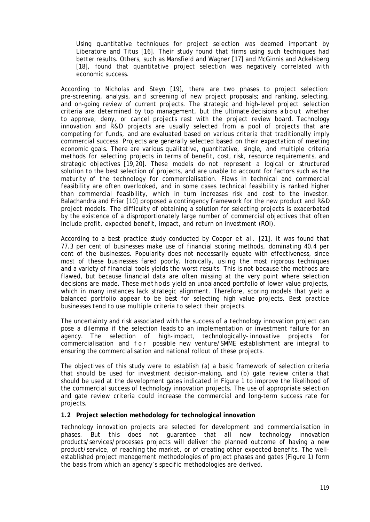Using quantitative techniques for project selection was deemed important by Liberatore and Titus [16]. Their study found that firms using such techniques had better results. Others, such as Mansfield and Wagner [17] and McGinnis and Ackelsberg [18], found that quantitative project selection was negatively correlated with economic success.

According to Nicholas and Steyn [19], there are two phases to project selection: pre-screening, analysis, and screening of new project proposals; and ranking, selecting, and on-going review of current projects. The strategic and high-level project selection criteria are determined by top management, but the ultimate decisions about whether to approve, deny, or cancel projects rest with the project review board. Technology innovation and R&D projects are usually selected from a pool of projects that are competing for funds, and are evaluated based on various criteria that traditionally imply commercial success. Projects are generally selected based on their expectation of meeting economic goals. There are various qualitative, quantitative, single, and multiple criteria methods for selecting projects in terms of benefit, cost, risk, resource requirements, and strategic objectives [19,20]. These models do not represent a logical or structured solution to the best selection of projects, and are unable to account for factors such as the maturity of the technology for commercialisation. Flaws in technical and commercial feasibility are often overlooked, and in some cases technical feasibility is ranked higher than commercial feasibility, which in turn increases risk and cost to the investor. Balachandra and Friar [10] proposed a contingency framework for the new product and R&D project models. The difficulty of obtaining a solution for selecting projects is exacerbated by the existence of a disproportionately large number of commercial objectives that often include profit, expected benefit, impact, and return on investment (ROI).

According to a best practice study conducted by Cooper et al. [21], it was found that 77.3 per cent of businesses make use of financial scoring methods, dominating 40.4 per cent of the businesses. Popularity does not necessarily equate with effectiveness, since most of these businesses fared poorly. Ironically, using the most rigorous techniques and a variety of financial tools yields the worst results. This is not because the methods are flawed, but because financial data are often missing at the very point where selection decisions are made. These methods yield an unbalanced portfolio of lower value projects, which in many instances lack strategic alignment. Therefore, scoring models that yield a balanced portfolio appear to be best for selecting high value projects. Best practice businesses tend to use multiple criteria to select their projects.

The uncertainty and risk associated with the success of a technology innovation project can pose a dilemma if the selection leads to an implementation or investment failure for an agency. The selection of high-impact, technologically- innovative projects for commercialisation and for possible new venture/SMME establishment are integral to ensuring the commercialisation and national rollout of these projects.

The objectives of this study were to establish (a) a basic framework of selection criteria that should be used for investment decision-making, and (b) gate review criteria that should be used at the development gates indicated in Figure 1 to improve the likelihood of the commercial success of technology innovation projects. The use of appropriate selection and gate review criteria could increase the commercial and long-term success rate for projects.

### **1.2 Project selection methodology for technological innovation**

Technology innovation projects are selected for development and commercialisation in phases. But this does not guarantee that all new technology innovation products/services/processes projects will deliver the planned outcome of having a new product/service, of reaching the market, or of creating other expected benefits. The wellestablished project management methodologies of project phases and gates (Figure 1) form the basis from which an agency's specific methodologies are derived.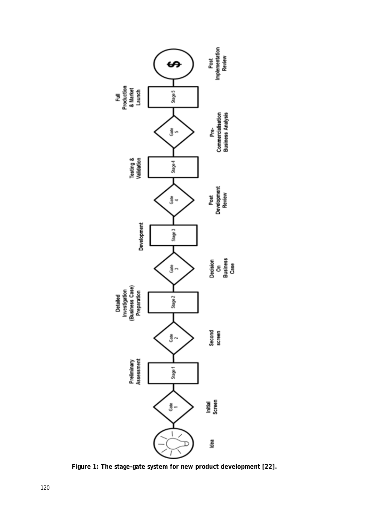

**Figure 1: The stage-gate system for new product development [22].**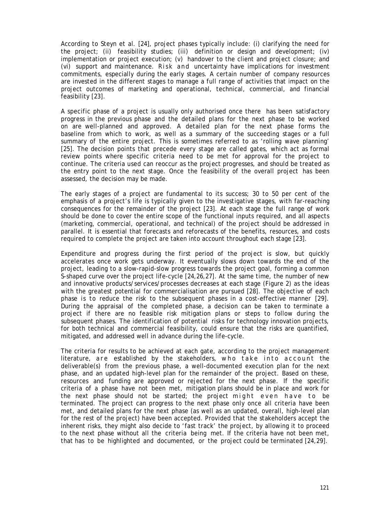According to Steyn et al. [24], project phases typically include: (i) clarifying the need for the project; (ii) feasibility studies; (iii) definition or design and development; (iv) implementation or project execution; (v) handover to the client and project closure; and (vi) support and maintenance. Risk and uncertainty have implications for investment commitments, especially during the early stages. A certain number of company resources are invested in the different stages to manage a full range of activities that impact on the project outcomes of marketing and operational, technical, commercial, and financial feasibility [23].

A specific phase of a project is usually only authorised once there has been satisfactory progress in the previous phase and the detailed plans for the next phase to be worked on are well-planned and approved. A detailed plan for the next phase forms the baseline from which to work, as well as a summary of the succeeding stages or a full summary of the entire project. This is sometimes referred to as 'rolling wave planning' [25]. The decision points that precede every stage are called *gates*, which act as formal review points where specific criteria need to be met for approval for the project to continue. The criteria used can reoccur as the project progresses, and should be treated as the entry point to the next stage. Once the feasibility of the overall project has been assessed, the decision may be made.

The early stages of a project are fundamental to its success; 30 to 50 per cent of the emphasis of a project's life is typically given to the investigative stages, with far-reaching consequences for the remainder of the project [23]. At each stage the full range of work should be done to cover the entire scope of the functional inputs required, and all aspects (marketing, commercial, operational, and technical) of the project should be addressed in parallel. It is essential that forecasts and reforecasts of the benefits, resources, and costs required to complete the project are taken into account throughout each stage [23].

Expenditure and progress during the first period of the project is slow, but quickly accelerates once work gets underway. It eventually slows down towards the end of the project, leading to a slow-rapid-slow progress towards the project goal, forming a common S-shaped curve over the project life-cycle [24,26,27]. At the same time, the number of new and innovative products/services/processes decreases at each stage (Figure 2) as the ideas with the greatest potential for commercialisation are pursued [28]. The objective of each phase is to reduce the risk to the subsequent phases in a cost-effective manner [29]. During the appraisal of the completed phase, a decision can be taken to terminate a project if there are no feasible risk mitigation plans or steps to follow during the subsequent phases. The identification of potential risks for technology innovation projects, for both technical and commercial feasibility, could ensure that the risks are quantified, mitigated, and addressed well in advance during the life-cycle.

The criteria for results to be achieved at each gate, according to the project management literature, are established by the stakeholders, who take into account the deliverable(s) from the previous phase, a well-documented execution plan for the next phase, and an updated high-level plan for the remainder of the project. Based on these, resources and funding are approved or rejected for the next phase. If the specific criteria of a phase have not been met, mitigation plans should be in place and work for the next phase should not be started; the project might even have to be terminated. The project can progress to the next phase only once all criteria have been met, and detailed plans for the next phase (as well as an updated, overall, high-level plan for the rest of the project) have been accepted. Provided that the stakeholders accept the inherent risks, they might also decide to 'fast track' the project, by allowing it to proceed to the next phase without all the criteria being met. If the criteria have not been met, that has to be highlighted and documented, or the project could be terminated [24,29].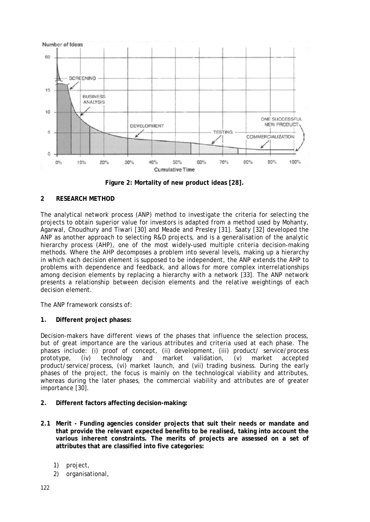

**Figure 2: Mortality of new product ideas [28].**

# **2 RESEARCH METHOD**

The analytical network process (ANP) method to investigate the criteria for selecting the projects to obtain superior value for investors is adapted from a method used by Mohanty, Agarwal, Choudhury and Tiwari [30] and Meade and Presley [31]. Saaty [32] developed the ANP as another approach to selecting R&D projects, and is a generalisation of the analytic hierarchy process (AHP), one of the most widely-used multiple criteria decision-making methods. Where the AHP decomposes a problem into several levels, making up a hierarchy in which each decision element is supposed to be independent, the ANP extends the AHP to problems with dependence and feedback, and allows for more complex interrelationships among decision elements by replacing a hierarchy with a network [33]. The ANP network presents a relationship between decision elements and the relative weightings of each decision element.

The ANP framework consists of:

# **1. Different project phases:**

Decision-makers have different views of the phases that influence the selection process, but of great importance are the various attributes and criteria used at each phase. The phases include: (i) proof of concept, (ii) development, (iii) product/ service/process<br>prototype, (iv) technology and market validation, (v) market accepted prototype, (iv) technology and market validation, (v) market accepted product/service/process, (vi) market launch, and (vii) trading business. During the early phases of the project, the focus is mainly on the technological viability and attributes, whereas during the later phases, the commercial viability and attributes are of greater importance [30].

- **2. Different factors affecting decision-making:**
- **2.1 Merit - Funding agencies consider projects that suit their needs or mandate and that provide the relevant expected benefits to be realised, taking into account the various inherent constraints. The merits of projects are assessed on a set of attributes that are classified into five categories:**
	- 1) project,
	- 2) organisational,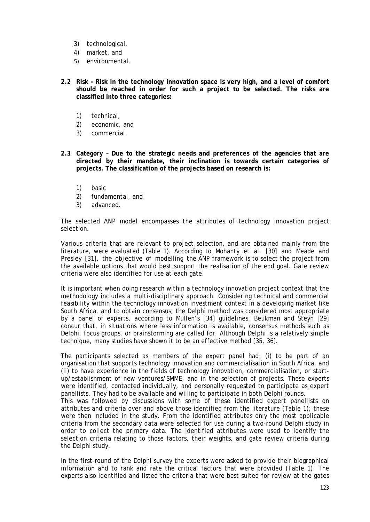- 3) technological,
- 4) market, and
- 5) environmental.
- **2.2 Risk - Risk in the technology innovation space is very high, and a level of comfort should be reached in order for such a project to be selected. The risks are classified into three categories:**
	- 1) technical,
	- 2) economic, and
	- 3) commercial.
- **2.3 Category – Due to the strategic needs and preferences of the agencies that are directed by their mandate, their inclination is towards certain categories of projects. The classification of the projects based on research is:**
	- 1) basic
	- 2) fundamental, and
	- 3) advanced.

The selected ANP model encompasses the attributes of technology innovation project selection.

Various criteria that are relevant to project selection, and are obtained mainly from the literature, were evaluated (Table 1). According to Mohanty et al. [30] and Meade and Presley [31], the objective of modelling the ANP framework is to select the project from the available options that would best support the realisation of the end goal. Gate review criteria were also identified for use at each gate.

It is important when doing research within a technology innovation project context that the methodology includes a multi-disciplinary approach. Considering technical and commercial feasibility within the technology innovation investment context in a developing market like South Africa, and to obtain consensus, the Delphi method was considered most appropriate by a panel of experts, according to Mullen's [34] guidelines. Beukman and Steyn [29] concur that, in situations where less information is available, consensus methods such as Delphi, focus groups, or brainstorming are called for. Although Delphi is a relatively simple technique, many studies have shown it to be an effective method [35, 36].

The participants selected as members of the expert panel had: (i) to be part of an organisation that supports technology innovation and commercialisation in South Africa, and (ii) to have experience in the fields of technology innovation, commercialisation, or startup/establishment of new ventures/SMME, and in the selection of projects. These experts were identified, contacted individually, and personally requested to participate as expert panellists. They had to be available and willing to participate in both Delphi rounds.

This was followed by discussions with some of these identified expert panellists on attributes and criteria over and above those identified from the literature (Table 1); these were then included in the study. From the identified attributes only the most applicable criteria from the secondary data were selected for use during a two-round Delphi study in order to collect the primary data. The identified attributes were used to identify the selection criteria relating to those factors, their weights, and gate review criteria during the Delphi study.

In the first-round of the Delphi survey the experts were asked to provide their biographical information and to rank and rate the critical factors that were provided (Table 1). The experts also identified and listed the criteria that were best suited for review at the gates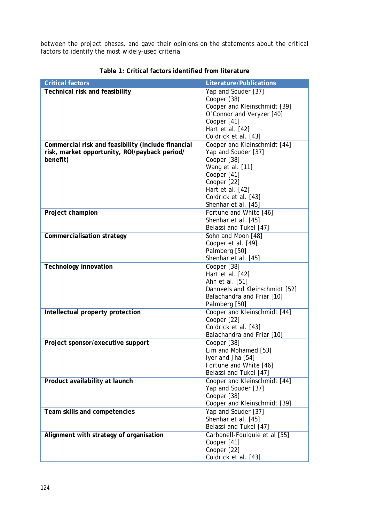between the project phases, and gave their opinions on the statements about the critical factors to identify the most widely-used criteria.

| <b>Critical factors</b>                            | <b>Literature/Publications</b>                   |
|----------------------------------------------------|--------------------------------------------------|
| <b>Technical risk and feasibility</b>              | Yap and Souder [37]                              |
|                                                    | Cooper (38)                                      |
|                                                    | Cooper and Kleinschmidt [39]                     |
|                                                    | O'Connor and Veryzer [40]                        |
|                                                    | Cooper [41]                                      |
|                                                    | Hart et al. [42]                                 |
|                                                    | Coldrick et al. [43]                             |
| Commercial risk and feasibility (include financial | Cooper and Kleinschmidt [44]                     |
| risk, market opportunity, ROI/payback period/      | Yap and Souder [37]                              |
| benefit)                                           | Cooper [38]                                      |
|                                                    | Wang et al. [11]                                 |
|                                                    | Cooper [41]                                      |
|                                                    | Cooper [22]                                      |
|                                                    | Hart et al. [42]<br>Coldrick et al. [43]         |
|                                                    | Shenhar et al. [45]                              |
| Project champion                                   | Fortune and White [46]                           |
|                                                    | Shenhar et al. [45]                              |
|                                                    | Belassi and Tukel [47]                           |
| <b>Commercialisation strategy</b>                  | Sohn and Moon [48]                               |
|                                                    | Cooper et al. [49]                               |
|                                                    | Palmberg [50]                                    |
|                                                    | Shenhar et al. [45]                              |
| <b>Technology innovation</b>                       | Cooper [38]                                      |
|                                                    | Hart et al. [42]                                 |
|                                                    | Ahn et al. [51]                                  |
|                                                    | Danneels and Kleinschmidt [52]                   |
|                                                    | Balachandra and Friar [10]                       |
|                                                    | Palmberg [50]                                    |
| Intellectual property protection                   | Cooper and Kleinschmidt [44]                     |
|                                                    | Cooper [22]                                      |
|                                                    | Coldrick et al. [43]                             |
|                                                    | Balachandra and Friar [10]                       |
| Project sponsor/executive support                  | Cooper [38]                                      |
|                                                    | Lim and Mohamed [53]                             |
|                                                    | Iyer and Jha [54]                                |
|                                                    | Fortune and White [46]<br>Belassi and Tukel [47] |
| Product availability at launch                     | Cooper and Kleinschmidt [44]                     |
|                                                    | Yap and Souder [37]                              |
|                                                    | Cooper [38]                                      |
|                                                    | Cooper and Kleinschmidt [39]                     |
| Team skills and competencies                       | Yap and Souder [37]                              |
|                                                    | Shenhar et al. [45]                              |
|                                                    | Belassi and Tukel [47]                           |
| Alignment with strategy of organisation            | Carbonell-Foulquie et al [55]                    |
|                                                    | Cooper [41]                                      |
|                                                    | Cooper [22]                                      |
|                                                    | Coldrick et al. [43]                             |

# **Table 1: Critical factors identified from literature**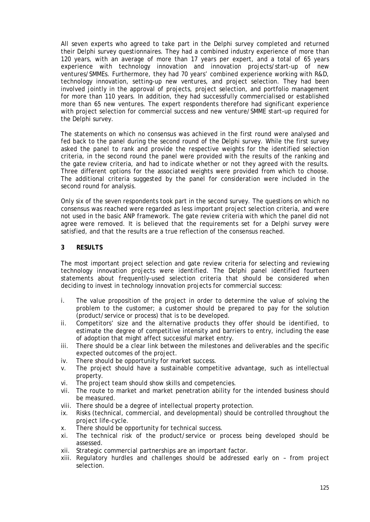All seven experts who agreed to take part in the Delphi survey completed and returned their Delphi survey questionnaires. They had a combined industry experience of more than 120 years, with an average of more than 17 years per expert, and a total of 65 years experience with technology innovation and innovation projects/start-up of new ventures/SMMEs. Furthermore, they had 70 years' combined experience working with R&D, technology innovation, setting-up new ventures, and project selection. They had been involved jointly in the approval of projects, project selection, and portfolio management for more than 110 years. In addition, they had successfully commercialised or established more than 65 new ventures. The expert respondents therefore had significant experience with project selection for commercial success and new venture/SMME start-up required for the Delphi survey.

The statements on which no consensus was achieved in the first round were analysed and fed back to the panel during the second round of the Delphi survey. While the first survey asked the panel to rank and provide the respective weights for the identified selection criteria, in the second round the panel were provided with the results of the ranking and the gate review criteria, and had to indicate whether or not they agreed with the results. Three different options for the associated weights were provided from which to choose. The additional criteria suggested by the panel for consideration were included in the second round for analysis.

Only six of the seven respondents took part in the second survey. The questions on which no consensus was reached were regarded as less important project selection criteria, and were not used in the basic ANP framework. The gate review criteria with which the panel did not agree were removed. It is believed that the requirements set for a Delphi survey were satisfied, and that the results are a true reflection of the consensus reached.

# **3 RESULTS**

The most important project selection and gate review criteria for selecting and reviewing technology innovation projects were identified. The Delphi panel identified fourteen statements about frequently-used selection criteria that should be considered when deciding to invest in technology innovation projects for commercial success:

- i. The value proposition of the project in order to determine the value of solving the problem to the customer; a customer should be prepared to pay for the solution (product/service or process) that is to be developed.
- ii. Competitors' size and the alternative products they offer should be identified, to estimate the degree of competitive intensity and barriers to entry, including the ease of adoption that might affect successful market entry.
- iii. There should be a clear link between the milestones and deliverables and the specific expected outcomes of the project.
- iv. There should be opportunity for market success.
- v. The project should have a sustainable competitive advantage, such as intellectual property.
- vi. The project team should show skills and competencies.
- vii. The route to market and market penetration ability for the intended business should be measured.
- viii. There should be a degree of intellectual property protection.
- ix. Risks (technical, commercial, and developmental) should be controlled throughout the project life-cycle.
- x. There should be opportunity for technical success.
- xi. The technical risk of the product/service or process being developed should be assessed.
- xii. Strategic commercial partnerships are an important factor.
- xiii. Regulatory hurdles and challenges should be addressed early on from project selection.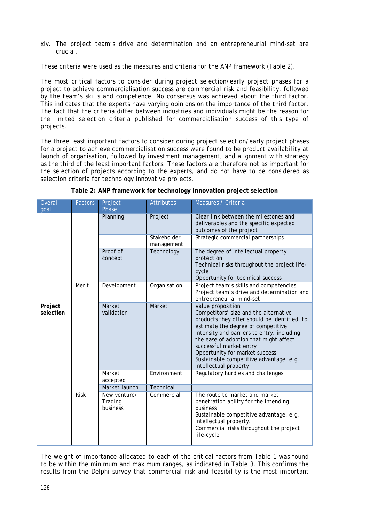xiv. The project team's drive and determination and an entrepreneurial mind-set are crucial.

These criteria were used as the measures and criteria for the ANP framework (Table 2).

The *most critical* factors to consider during project selection/early project phases for a project to achieve commercialisation success are *commercial risk and feasibility*, followed by *the team's skills and competence*. No consensus was achieved about the third factor. This indicates that the experts have varying opinions on the importance of the third factor. The fact that the criteria differ between industries and individuals might be the reason for the limited selection criteria published for commercialisation success of this type of projects.

The three *least important* factors to consider during project selection/early project phases for a project to achieve commercialisation success were found to be *product availability at launch of organisation*, followed by *investment management,* and *alignment with strategy*  as the third of the least important factors. These factors are therefore not as important for the selection of projects according to the experts, and do not have to be considered as selection criteria for technology innovative projects.

| <b>Factors</b> | Project<br>Phase                    | <b>Attributes</b>                   | Measures / Criteria                                                                                                                                                                                                                                                                                                                                                       |
|----------------|-------------------------------------|-------------------------------------|---------------------------------------------------------------------------------------------------------------------------------------------------------------------------------------------------------------------------------------------------------------------------------------------------------------------------------------------------------------------------|
| Merit          | Planning                            | Project                             | Clear link between the milestones and<br>deliverables and the specific expected<br>outcomes of the project                                                                                                                                                                                                                                                                |
|                |                                     | Stakeholder<br>management           | Strategic commercial partnerships                                                                                                                                                                                                                                                                                                                                         |
|                | concept                             | Technology                          | The degree of intellectual property<br>protection<br>Technical risks throughout the project life-<br>cycle<br>Opportunity for technical success                                                                                                                                                                                                                           |
|                |                                     | Organisation                        | Project team's skills and competencies<br>Project team's drive and determination and<br>entrepreneurial mind-set                                                                                                                                                                                                                                                          |
|                | Market<br>validation                | Market                              | Value proposition<br>Competitors' size and the alternative<br>products they offer should be identified, to<br>estimate the degree of competitive<br>intensity and barriers to entry, including<br>the ease of adoption that might affect<br>successful market entry<br>Opportunity for market success<br>Sustainable competitive advantage, e.g.<br>intellectual property |
| Risk           | Market                              | Environment                         | Regulatory hurdles and challenges                                                                                                                                                                                                                                                                                                                                         |
|                | Market launch                       | Technical                           |                                                                                                                                                                                                                                                                                                                                                                           |
|                | New venture/<br>Trading<br>business | Commercial                          | The route to market and market<br>penetration ability for the intending<br>business<br>Sustainable competitive advantage, e.g.<br>intellectual property.<br>Commercial risks throughout the project<br>life-cycle                                                                                                                                                         |
|                |                                     | Proof of<br>Development<br>accepted |                                                                                                                                                                                                                                                                                                                                                                           |

**Table 2: ANP framework for technology innovation project selection**

The weight of importance allocated to each of the critical factors from Table 1 was found to be within the minimum and maximum ranges, as indicated in Table 3. This confirms the results from the Delphi survey that *commercial risk and feasibility* is the most important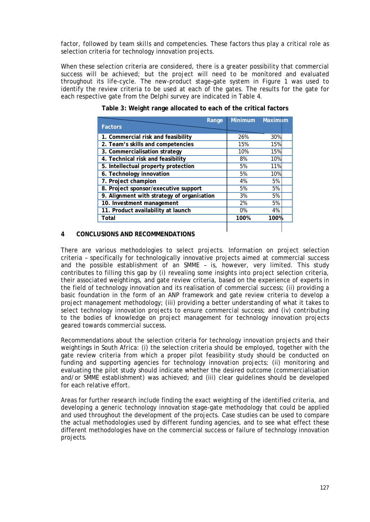factor, followed by *team skills and competencies*. These factors thus play a critical role as selection criteria for technology innovation projects.

When these selection criteria are considered, there is a greater possibility that commercial success will be achieved; but the project will need to be monitored and evaluated throughout its life-cycle. The new-product stage-gate system in Figure 1 was used to identify the review criteria to be used at each of the gates. The results for the gate for each respective gate from the Delphi survey are indicated in Table 4.

| Range                                      | <b>Minimum</b> | Maximum |  |
|--------------------------------------------|----------------|---------|--|
| <b>Factors</b>                             |                |         |  |
| 1. Commercial risk and feasibility         | 26%            | 30%     |  |
| 2. Team's skills and competencies          | 15%            | 15%     |  |
| 3. Commercialisation strategy              | 10%            | 15%     |  |
| 4. Technical risk and feasibility          | 8%             | 10%     |  |
| 5. Intellectual property protection        | 5%             | 11%     |  |
| 6. Technology innovation                   | 5%             | 10%     |  |
| 7. Project champion                        | 4%             | 5%      |  |
| 8. Project sponsor/executive support       | 5%             | 5%      |  |
| 9. Alignment with strategy of organisation | 3%             | 5%      |  |
| 10. Investment management                  | 2%             | 5%      |  |
| 11. Product availability at launch         | 0%             | 4%      |  |
| Total                                      | 100%           | 100%    |  |
|                                            |                |         |  |

**Table 3: Weight range allocated to each of the critical factors**

## **4 CONCLUSIONS AND RECOMMENDATIONS**

There are various methodologies to select projects. Information on project selection criteria – specifically for technologically innovative projects aimed at commercial success and the possible establishment of an SMME – is, however, very limited. This study contributes to filling this gap by (i) revealing some insights into project selection criteria, their associated weightings, and gate review criteria, based on the experience of experts in the field of technology innovation and its realisation of commercial success; (ii) providing a basic foundation in the form of an ANP framework and gate review criteria to develop a project management methodology; (iii) providing a better understanding of what it takes to select technology innovation projects to ensure commercial success; and (iv) contributing to the bodies of knowledge on project management for technology innovation projects geared towards commercial success.

Recommendations about the selection criteria for technology innovation projects and their weightings in South Africa: (i) the selection criteria should be employed, together with the gate review criteria from which a proper pilot feasibility study should be conducted on funding and supporting agencies for technology innovation projects; (ii) monitoring and evaluating the pilot study should indicate whether the desired outcome (commercialisation and/or SMME establishment) was achieved; and (iii) clear guidelines should be developed for each relative effort.

Areas for further research include finding the exact weighting of the identified criteria, and developing a generic technology innovation stage-gate methodology that could be applied and used throughout the development of the projects. Case studies can be used to compare the actual methodologies used by different funding agencies, and to see what effect these different methodologies have on the commercial success or failure of technology innovation projects.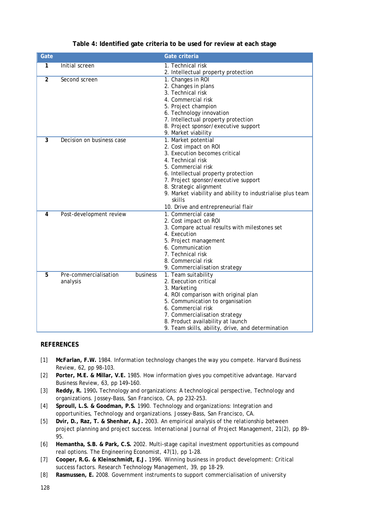| Gate           |                                   |          | Gate criteria                                                                                                                                                                                                                                                                                                                                    |
|----------------|-----------------------------------|----------|--------------------------------------------------------------------------------------------------------------------------------------------------------------------------------------------------------------------------------------------------------------------------------------------------------------------------------------------------|
| 1              | Initial screen                    |          | 1. Technical risk<br>2. Intellectual property protection                                                                                                                                                                                                                                                                                         |
| $\overline{2}$ | Second screen                     |          | 1. Changes in ROI<br>2. Changes in plans<br>3. Technical risk<br>4. Commercial risk<br>5. Project champion<br>6. Technology innovation<br>7. Intellectual property protection<br>8. Project sponsor/executive support<br>9. Market viability                                                                                                     |
| 3              | Decision on business case         |          | 1. Market potential<br>2. Cost impact on ROI<br>3. Execution becomes critical<br>4. Technical risk<br>5. Commercial risk<br>6. Intellectual property protection<br>7. Project sponsor/executive support<br>8. Strategic alignment<br>9. Market viability and ability to industrialise plus team<br>skills<br>10. Drive and entrepreneurial flair |
| 4              | Post-development review           |          | 1. Commercial case<br>2. Cost impact on ROI<br>3. Compare actual results with milestones set<br>4. Execution<br>5. Project management<br>6. Communication<br>7. Technical risk<br>8. Commercial risk<br>9. Commercialisation strategy                                                                                                            |
| 5              | Pre-commercialisation<br>analysis | business | 1. Team suitability<br>2. Execution critical<br>3. Marketing<br>4. ROI comparison with original plan<br>5. Communication to organisation<br>6. Commercial risk<br>7. Commercialisation strategy<br>8. Product availability at launch<br>9. Team skills, ability, drive, and determination                                                        |

# **Table 4: Identified gate criteria to be used for review at each stage**

#### **REFERENCES**

- [1] **McFarlan, F.W.** 1984. Information technology changes the way you compete. *Harvard Business Review,* 62, pp 98–103.
- [2] **Porter, M.E. & Millar, V.E.** 1985. How information gives you competitive advantage. *Harvard Business Review,* 63, pp 149–160.
- [3] **Reddy, R.** 1990**.** Technology and organizations: A technological perspective, *Technology and organizations*. Jossey-Bass, San Francisco, CA, pp 232-253.
- [4] **Sproull, L.S. & Goodman, P.S.** 1990. Technology and organizations: Integration and opportunities, *Technology and organizations*. Jossey-Bass, San Francisco, CA.
- [5] **Dvir, D., Raz, T. & Shenhar, A.J.** 2003. An empirical analysis of the relationship between project planning and project success. *International Journal of Project Management*, 21(2), pp 89– 95.
- [6] **Hemantha, S.B. & Park, C.S.** 2002. Multi-stage capital investment opportunities as compound real options. *The Engineering Economist,* 47(1), pp 1-28.
- [7] **Cooper, R.G. & Kleinschmidt, E.J.** 1996. Winning business in product development: Critical success factors. *Research Technology Management,* 39, pp 18-29.
- [8] **Rasmussen, E.** 2008. Government instruments to support commercialisation of university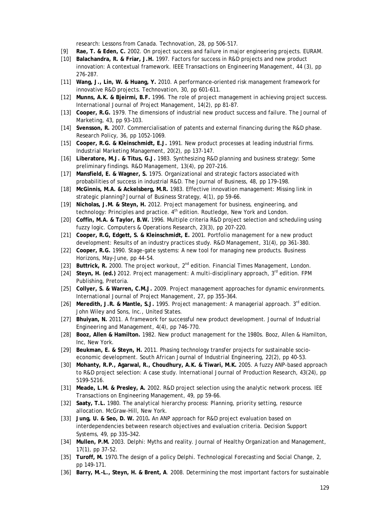research: Lessons from Canada. *Technovation*, 28, pp 506-517.

- [9] **Rae, T. & Eden, C.** 2002. On project success and failure in major engineering projects. *EURAM.*
- [10] **Balachandra, R. & Friar, J.H.** 1997. Factors for success in R&D projects and new product innovation: A contextual framework. *IEEE Transactions on Engineering Management*, 44 (3), pp 276-287.
- [11] **Wang, J., Lin, W. & Huang, Y.** 2010. A performance–oriented risk management framework for innovative R&D projects. *Technovation*, 30, pp 601-611.
- [12] **Munns, A.K. & Bjeirmi, B.F.** 1996. The role of project management in achieving project success. *International Journal of Project Management*, 14(2), pp 81-87.
- [13] **Cooper, R.G.** 1979. The dimensions of industrial new product success and failure. *The Journal of Marketing,* 43, pp 93–103.
- [14] **Svensson, R.** 2007. Commercialisation of patents and external financing during the R&D phase. *Research Policy,* 36, pp 1052-1069.
- [15] **Cooper, R.G. & Kleinschmidt, E.J.** 1991. New product processes at leading industrial firms. *Industrial Marketing Management*, 20(2), pp 137-147.
- [16] **Liberatore, M.J. & Titus, G.J.** 1983. Synthesizing R&D planning and business strategy: Some preliminary findings. *R&D Management*, 13(4), pp 207–216.
- [17] **Mansfield, E. & Wagner, S.** 1975. Organizational and strategic factors associated with probabilities of success in industrial R&D. *The Journal of Business,* 48, pp 179–198.
- [18] **McGinnis, M.A. & Ackelsberg, M.R.** 1983. Effective innovation management: Missing link in strategic planning? *Journal of Business Strategy,* 4(1), pp 59–66.
- [19] **Nicholas, J.M. & Steyn, H.** 2012. *Project management for business, engineering, and technology: Principles and practice.* 4<sup>th</sup> edition. Routledge, New York and London.
- [20] **Coffin, M.A. & Taylor, B.W.** 1996. Multiple criteria R&D project selection and scheduling using fuzzy logic. *Computers & Operations Research*, 23(3), pp 207-220.
- [21] **Cooper, R.G, Edgett, S. & Kleinschmidt, E.** 2001. Portfolio management for a new product development: Results of an industry practices study. R*&D Management*, 31(4), pp 361-380.
- [22] **Cooper, R.G.** 1990. Stage-gate systems: A new tool for managing new products. *Business Horizons*, May-June, pp 44-54.
- [23] **Buttrick, R.** 2000. *The project workout*, 2nd edition. Financial Times Management, London.
- [24] **Steyn, H. (ed.)** 2012. *Project management: A multi-disciplinary approach*, 3rd edition. FPM Publishing, Pretoria.
- [25] **Collyer, S. & Warren, C.M.J.** 2009. Project management approaches for dynamic environments. *International Journal of Project Management*, 27, pp 355–364.
- [26] **Meredith, J.R. & Mantle, S.J.** 1995. *Project management: A managerial approach*. 3rd edition. John Wiley and Sons, Inc., United States.
- [27] **Bhuiyan, N.** 2011. A framework for successful new product development. *Journal of Industrial Engineering and Management*, 4(4), pp 746-770.
- [28] **Booz, Allen & Hamilton.** 1982. *New product management for the 1980s*. Booz, Allen & Hamilton, Inc, New York.
- [29] **Beukman, E. & Steyn, H.** 2011. Phasing technology transfer projects for sustainable socioeconomic development. *South African Journal of Industrial Engineering*, 22(2), pp 40-53.
- [30] **Mohanty, R.P., Agarwal, R., Choudhury, A.K. & Tiwari, M.K.** 2005. A fuzzy ANP-based approach to R&D project selection: A case study. *International Journal of Production Research,* 43(24), pp 5199-5216.
- [31] **Meade, L.M. & Presley, A.** 2002. R&D project selection using the analytic network process. *IEE Transactions on Engineering Management,* 49, pp 59-66.
- [32] **Saaty, T.L.** 1980. *The analytical hierarchy process: Planning, priority setting, resource allocation*. McGraw-Hill, New York.
- [33] **Jung, U. & Seo, D. W.** 2010**.** An ANP approach for R&D project evaluation based on interdependencies between research objectives and evaluation criteria. *Decision Support Systems,* 49, pp 335–342.
- [34] **Mullen, P.M.** 2003. Delphi: Myths and reality. *Journal of Healthy Organization and Management,*  17(1), pp 37-52.
- [35] **Turoff, M.** 1970.The design of a policy Delphi. *Technological Forecasting and Social Change,* 2, pp 149-171.
- [36] **Barry, M.-L., Steyn, H. & Brent, A**. 2008. Determining the most important factors for sustainable